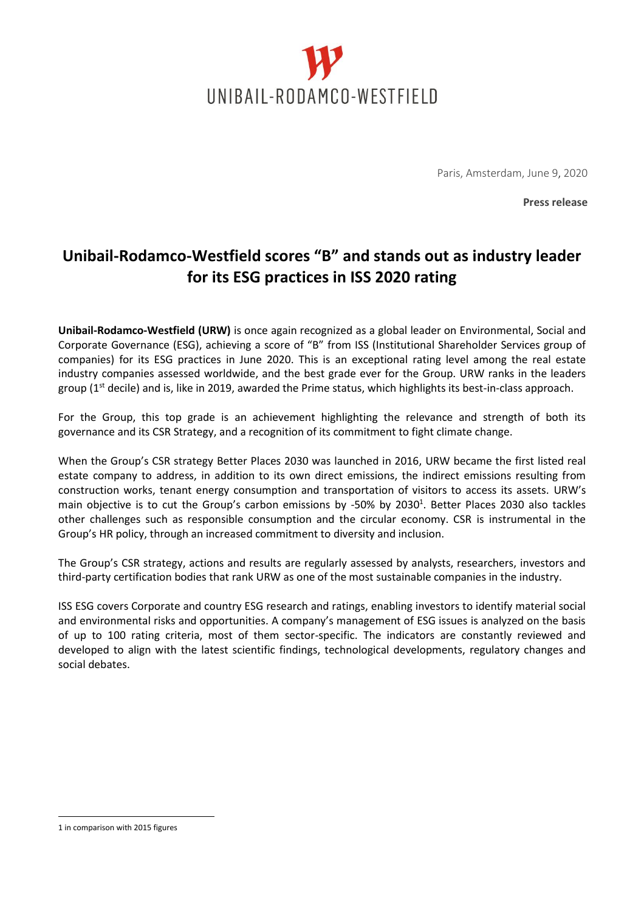

Paris, Amsterdam, June 9, 2020

 **Press release**

## **Unibail-Rodamco-Westfield scores "B" and stands out as industry leader for its ESG practices in ISS 2020 rating**

**Unibail-Rodamco-Westfield (URW)** is once again recognized as a global leader on Environmental, Social and Corporate Governance (ESG), achieving a score of "B" from ISS (Institutional Shareholder Services group of companies) for its ESG practices in June 2020. This is an exceptional rating level among the real estate industry companies assessed worldwide, and the best grade ever for the Group. URW ranks in the leaders group ( $1<sup>st</sup>$  decile) and is, like in 2019, awarded the Prime status, which highlights its best-in-class approach.

For the Group, this top grade is an achievement highlighting the relevance and strength of both its governance and its CSR Strategy, and a recognition of its commitment to fight climate change.

When the Group's CSR strategy Better Places 2030 was launched in 2016, URW became the first listed real estate company to address, in addition to its own direct emissions, the indirect emissions resulting from construction works, tenant energy consumption and transportation of visitors to access its assets. URW's main objective is to cut the Group's carbon emissions by -50% by 2030<sup>1</sup>. Better Places 2030 also tackles other challenges such as responsible consumption and the circular economy. CSR is instrumental in the Group's HR policy, through an increased commitment to diversity and inclusion.

The Group's CSR strategy, actions and results are regularly assessed by analysts, researchers, investors and third-party certification bodies that rank URW as one of the most sustainable companies in the industry.

ISS ESG covers Corporate and country ESG research and ratings, enabling investors to identify material social and environmental risks and opportunities. A company's management of ESG issues is analyzed on the basis of up to 100 rating criteria, most of them sector-specific. The indicators are constantly reviewed and developed to align with the latest scientific findings, technological developments, regulatory changes and social debates.

 $\overline{a}$ 

<sup>1</sup> in comparison with 2015 figures